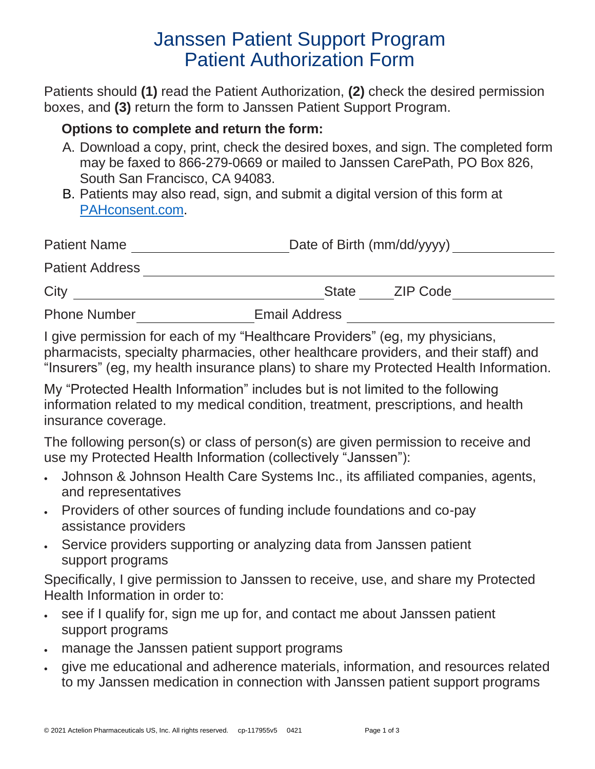# Janssen Patient Support Program Patient Authorization Form

Patients should **(1)** read the Patient Authorization, **(2)** check the desired permission boxes, and **(3)** return the form to Janssen Patient Support Program.

### **Options to complete and return the form:**

- A. Download a copy, print, check the desired boxes, and sign. The completed form may be faxed to 866-279-0669 or mailed to Janssen CarePath, PO Box 826, South San Francisco, CA 94083.
- B. Patients may also read, sign, and submit a digital version of this form at [PAHconsent.com.](http://www.pahconsent.com/)

| <b>Patient Name</b>    | Date of Birth (mm/dd/yyyy) |  |
|------------------------|----------------------------|--|
| <b>Patient Address</b> |                            |  |
| City                   | ZIP Code<br><b>State</b>   |  |
| <b>Phone Number</b>    | <b>Email Address</b>       |  |

I give permission for each of my "Healthcare Providers" (eg, my physicians, pharmacists, specialty pharmacies, other healthcare providers, and their staff) and "Insurers" (eg, my health insurance plans) to share my Protected Health Information.

My "Protected Health Information" includes but is not limited to the following information related to my medical condition, treatment, prescriptions, and health insurance coverage.

The following person(s) or class of person(s) are given permission to receive and use my Protected Health Information (collectively "Janssen"):

- Johnson & Johnson Health Care Systems Inc., its affiliated companies, agents, and representatives
- Providers of other sources of funding include foundations and co-pay assistance providers
- Service providers supporting or analyzing data from Janssen patient support programs

Specifically, I give permission to Janssen to receive, use, and share my Protected Health Information in order to:

- see if I qualify for, sign me up for, and contact me about Janssen patient support programs
- manage the Janssen patient support programs
- give me educational and adherence materials, information, and resources related to my Janssen medication in connection with Janssen patient support programs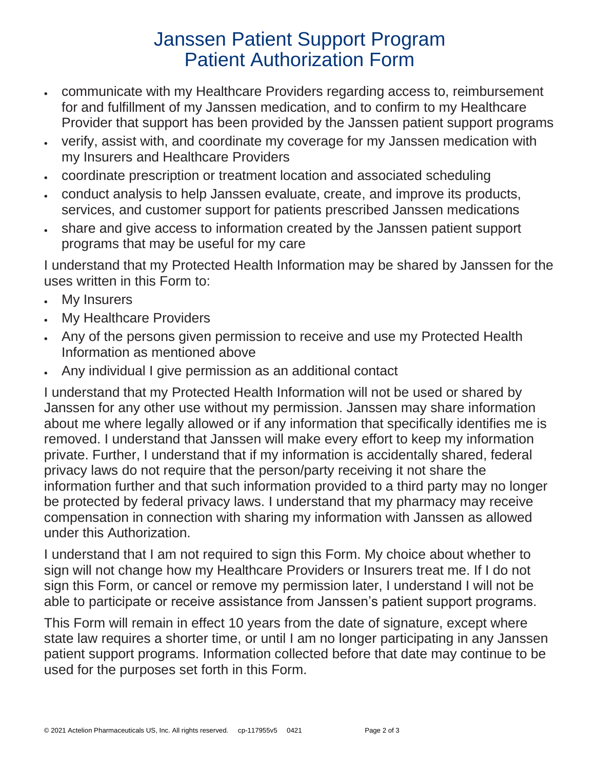# Janssen Patient Support Program Patient Authorization Form

- communicate with my Healthcare Providers regarding access to, reimbursement for and fulfillment of my Janssen medication, and to confirm to my Healthcare Provider that support has been provided by the Janssen patient support programs
- verify, assist with, and coordinate my coverage for my Janssen medication with my Insurers and Healthcare Providers
- coordinate prescription or treatment location and associated scheduling
- conduct analysis to help Janssen evaluate, create, and improve its products, services, and customer support for patients prescribed Janssen medications
- share and give access to information created by the Janssen patient support programs that may be useful for my care

I understand that my Protected Health Information may be shared by Janssen for the uses written in this Form to:

- My Insurers
- My Healthcare Providers
- Any of the persons given permission to receive and use my Protected Health Information as mentioned above
- Any individual I give permission as an additional contact

I understand that my Protected Health Information will not be used or shared by Janssen for any other use without my permission. Janssen may share information about me where legally allowed or if any information that specifically identifies me is removed. I understand that Janssen will make every effort to keep my information private. Further, I understand that if my information is accidentally shared, federal privacy laws do not require that the person/party receiving it not share the information further and that such information provided to a third party may no longer be protected by federal privacy laws. I understand that my pharmacy may receive compensation in connection with sharing my information with Janssen as allowed under this Authorization.

I understand that I am not required to sign this Form. My choice about whether to sign will not change how my Healthcare Providers or Insurers treat me. If I do not sign this Form, or cancel or remove my permission later, I understand I will not be able to participate or receive assistance from Janssen's patient support programs.

This Form will remain in effect 10 years from the date of signature, except where state law requires a shorter time, or until I am no longer participating in any Janssen patient support programs. Information collected before that date may continue to be used for the purposes set forth in this Form.